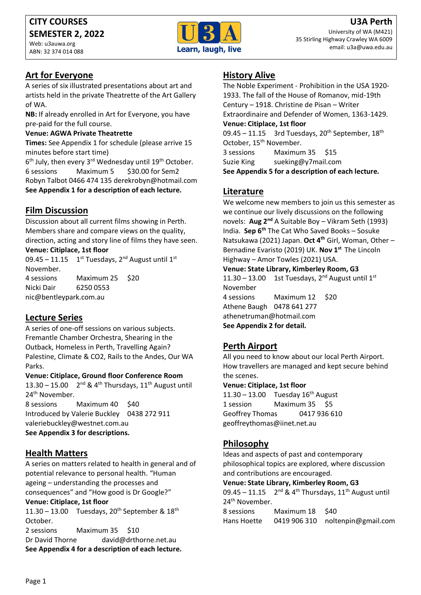Web: u3auwa.org ABN: 32 374 014 088



## **Art for Everyone**

A series of six illustrated presentations about art and artists held in the private Theatrette of the Art Gallery of WA.

**NB:** If already enrolled in Art for Everyone, you have pre-paid for the full course.

#### **Venue: AGWA Private Theatrette**

**Times:** See Appendix 1 for schedule (please arrive 15 minutes before start time)

6<sup>th</sup> July, then every 3<sup>rd</sup> Wednesday until 19<sup>th</sup> October. 6 sessions Maximum 5 \$30.00 for Sem2 Robyn Talbot 0466 474 135 derekrobyn@hotmail.com **See Appendix 1 for a description of each lecture.**

## **Film Discussion**

Discussion about all current films showing in Perth. Members share and compare views on the quality, direction, acting and story line of films they have seen.

### **Venue: Citiplace, 1st floor**

09.45 – 11.15  $1^{st}$  Tuesdays, 2<sup>nd</sup> August until 1<sup>st</sup> November. 4 sessions Maximum 25 \$20 Nicki Dair 6250 0553

nic@bentleypark.com.au

## **Lecture Series**

A series of one-off sessions on various subjects. Fremantle Chamber Orchestra, Shearing in the Outback, Homeless in Perth, Travelling Again? Palestine, Climate & CO2, Rails to the Andes, Our WA Parks.

#### **Venue: Citiplace, Ground floor Conference Room**

13.30 – 15.00  $2^{nd}$  & 4<sup>th</sup> Thursdays, 11<sup>th</sup> August until 24<sup>th</sup> November.

8 sessions Maximum 40 \$40 Introduced by Valerie Buckley 0438 272 911 valeriebuckley@westnet.com.au **See Appendix 3 for descriptions.**

## **Health Matters**

A series on matters related to health in general and of potential relevance to personal health. "Human ageing – understanding the processes and consequences" and "How good is Dr Google?" **Venue: Citiplace, 1st floor**

11.30 – 13.00 Tuesdays, 20<sup>th</sup> September &  $18<sup>th</sup>$ October.

2 sessions Maximum 35 \$10 Dr David Thorne david@drthorne.net.au **See Appendix 4 for a description of each lecture.** 

## **History Alive**

The Noble Experiment - Prohibition in the USA 1920- 1933. The fall of the House of Romanov, mid-19th Century – 1918. Christine de Pisan – Writer Extraordinaire and Defender of Women, 1363-1429. **Venue: Citiplace, 1st floor** 09.45 – 11.15 3rd Tuesdays,  $20^{th}$  September,  $18^{th}$ October, 15<sup>th</sup> November. 3 sessions Maximum 35 \$15 Suzie King sueking@y7mail.com **See Appendix 5 for a description of each lecture.**

## **Literature**

We welcome new members to join us this semester as we continue our lively discussions on the following novels: **Aug 2nd** A Suitable Boy – Vikram Seth (1993) India. **Sep 6th** The Cat Who Saved Books – Sosuke Natsukawa (2021) Japan. **Oct 4th** Girl, Woman, Other – Bernadine Evaristo (2019) UK. **Nov 1st** The Lincoln Highway – Amor Towles (2021) USA.

#### **Venue: State Library, Kimberley Room, G3**

 $11.30 - 13.00$  1st Tuesdays, 2<sup>nd</sup> August until 1<sup>st</sup> November 4 sessions Maximum 12 \$20 Athene Baugh 0478 641 277 athenetruman@hotmail.com **See Appendix 2 for detail.**

# **Perth Airport**

All you need to know about our local Perth Airport. How travellers are managed and kept secure behind the scenes.

#### **Venue: Citiplace, 1st floor**

 $11.30 - 13.00$  Tuesday  $16<sup>th</sup>$  August 1 session Maximum 35 \$5 Geoffrey Thomas 0417 936 610 geoffreythomas@iinet.net.au

## **Philosophy**

Ideas and aspects of past and contemporary philosophical topics are explored, where discussion and contributions are encouraged.

**Venue: State Library, Kimberley Room, G3**

09.45 – 11.15  $2^{nd}$  & 4<sup>th</sup> Thursdays, 11<sup>th</sup> August until 24<sup>th</sup> November.

8 sessions Maximum 18 \$40 Hans Hoette 0419 906 310 noltenpin@gmail.com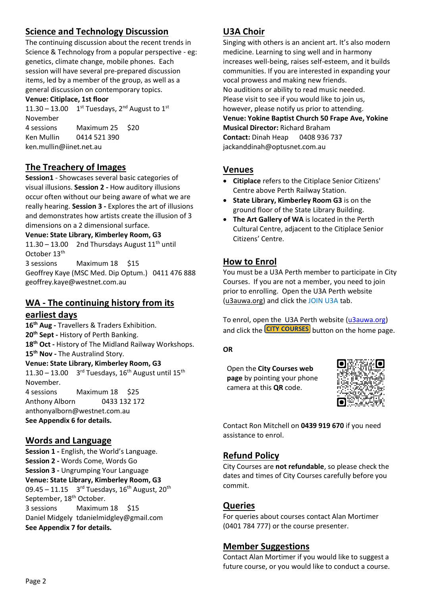# **Science and Technology Discussion**

The continuing discussion about the recent trends in Science & Technology from a popular perspective - eg: genetics, climate change, mobile phones. Each session will have several pre-prepared discussion items, led by a member of the group, as well as a general discussion on contemporary topics.

### **Venue: Citiplace, 1st floor**

11.30 – 13.00  $1^{st}$  Tuesdays, 2<sup>nd</sup> August to 1<sup>st</sup> November 4 sessions Maximum 25 \$20 Ken Mullin 0414 521 390 ken.mullin@iinet.net.au

# **The Treachery of Images**

**Session1** - Showcases several basic categories of visual illusions. **Session 2 -** How auditory illusions occur often without our being aware of what we are really hearing. **Session 3 -** Explores the art of illusions and demonstrates how artists create the illusion of 3 dimensions on a 2 dimensional surface.

#### **Venue: State Library, Kimberley Room, G3**

11.30 – 13.00 2nd Thursdays August  $11^{th}$  until October 13<sup>th</sup>

3 sessions Maximum 18 \$15 Geoffrey Kaye (MSC Med. Dip Optum.) 0411 476 888 geoffrey.kaye@westnet.com.au

# **WA - The continuing history from its**

### **earliest days**

**16th Aug -** Travellers & Traders Exhibition. **20th Sept -** History of Perth Banking. **18th Oct -** History of The Midland Railway Workshops. **15th Nov -** The Australind Story. **Venue: State Library, Kimberley Room, G3**  $11.30 - 13.00$  3<sup>rd</sup> Tuesdays, 16<sup>th</sup> August until 15<sup>th</sup> November. 4 sessions Maximum 18 \$25 Anthony Alborn 0433 132 172 anthonyalborn@westnet.com.au **See Appendix 6 for details.**

## **Words and Language**

**Session 1 -** English, the World's Language. **Session 2 -** Words Come, Words Go **Session 3 -** Ungrumping Your Language **Venue: State Library, Kimberley Room, G3** 09.45 – 11.15  $3^{rd}$  Tuesdays, 16<sup>th</sup> August, 20<sup>th</sup> September, 18<sup>th</sup> October. 3 sessions Maximum 18 \$15 Daniel Midgely tdanielmidgley@gmail.com **See Appendix 7 for details.**

## **U3A Choir**

Singing with others is an ancient art. It's also modern medicine. Learning to sing well and in harmony increases well-being, raises self-esteem, and it builds communities. If you are interested in expanding your vocal prowess and making new friends. No auditions or ability to read music needed. Please visit to see if you would like to join us, however, please notify us prior to attending. **Venue: Yokine Baptist Church 50 Frape Ave, Yokine Musical Director:** Richard Braham **Contact:** Dinah Heap 0408 936 737 jackanddinah@optusnet.com.au

## **Venues**

- **Citiplace** refers to the Citiplace Senior Citizens' Centre above Perth Railway Station.
- **State Library, Kimberley Room G3** is on the ground floor of the State Library Building.
- **The Art Gallery of WA** is located in the Perth Cultural Centre, adjacent to the Citiplace Senior Citizens' Centre.

## **How to Enrol**

You must be a U3A Perth member to participate in City Courses. If you are not a member, you need to join prior to enrolling. Open the U3A Perth website [\(u3auwa.org\)](https://u3auwa.org/) and click the JOIN U3A tab.

To enrol, open the U3A Perth website [\(u3auwa.org\)](https://u3auwa.org/) and click the **CITY COURSES** button on the home page.

#### **OR**

Open the **City Courses web page** by pointing your phone camera at this **QR** code.



Contact Ron Mitchell on **0439 919 670** if you need assistance to enrol.

# **Refund Policy**

City Courses are **not refundable**, so please check the dates and times of City Courses carefully before you commit.

## **Queries**

For queries about courses contact Alan Mortimer (0401 784 777) or the course presenter.

## **Member Suggestions**

Contact Alan Mortimer if you would like to suggest a future course, or you would like to conduct a course.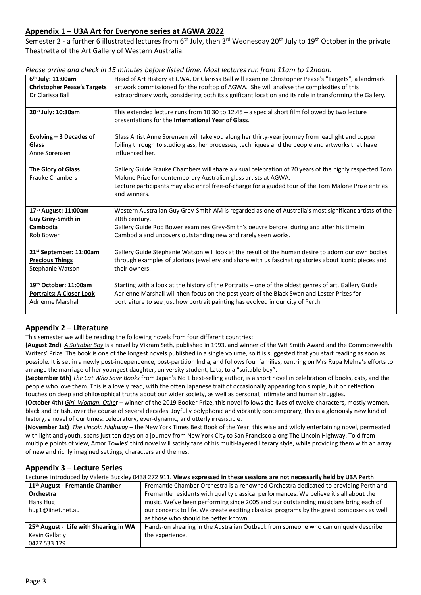### **Appendix 1 – U3A Art for Everyone series at AGWA 2022**

Semester 2 - a further 6 illustrated lectures from 6<sup>th</sup> July, then 3<sup>rd</sup> Wednesday 20<sup>th</sup> July to 19<sup>th</sup> October in the private Theatrette of the Art Gallery of Western Australia.

| 6 <sup>th</sup> July: 11:00am<br><b>Christopher Pease's Targets</b><br>Dr Clarissa Ball | Head of Art History at UWA, Dr Clarissa Ball will examine Christopher Pease's "Targets", a landmark<br>artwork commissioned for the rooftop of AGWA. She will analyse the complexities of this<br>extraordinary work, considering both its significant location and its role in transforming the Gallery. |
|-----------------------------------------------------------------------------------------|-----------------------------------------------------------------------------------------------------------------------------------------------------------------------------------------------------------------------------------------------------------------------------------------------------------|
|                                                                                         |                                                                                                                                                                                                                                                                                                           |
| 20th July: 10:30am                                                                      | This extended lecture runs from 10.30 to 12.45 - a special short film followed by two lecture<br>presentations for the International Year of Glass.                                                                                                                                                       |
| Evolving $-3$ Decades of<br>Glass<br>Anne Sorensen                                      | Glass Artist Anne Sorensen will take you along her thirty-year journey from leadlight and copper<br>foiling through to studio glass, her processes, techniques and the people and artworks that have<br>influenced her.                                                                                   |
| <b>The Glory of Glass</b><br><b>Frauke Chambers</b>                                     | Gallery Guide Frauke Chambers will share a visual celebration of 20 years of the highly respected Tom<br>Malone Prize for contemporary Australian glass artists at AGWA.<br>Lecture participants may also enrol free-of-charge for a guided tour of the Tom Malone Prize entries<br>and winners.          |
| 17th August: 11:00am<br>Guy Grey-Smith in                                               | Western Australian Guy Grey-Smith AM is regarded as one of Australia's most significant artists of the<br>20th century.                                                                                                                                                                                   |
| Cambodia                                                                                | Gallery Guide Rob Bower examines Grey-Smith's oeuvre before, during and after his time in                                                                                                                                                                                                                 |
| Rob Bower                                                                               | Cambodia and uncovers outstanding new and rarely seen works.                                                                                                                                                                                                                                              |
| 21 <sup>st</sup> September: 11:00am                                                     | Gallery Guide Stephanie Watson will look at the result of the human desire to adorn our own bodies                                                                                                                                                                                                        |
| <b>Precious Things</b>                                                                  | through examples of glorious jewellery and share with us fascinating stories about iconic pieces and                                                                                                                                                                                                      |
| Stephanie Watson                                                                        | their owners.                                                                                                                                                                                                                                                                                             |
| 19th October: 11:00am                                                                   | Starting with a look at the history of the Portraits - one of the oldest genres of art, Gallery Guide                                                                                                                                                                                                     |
| <b>Portraits: A Closer Look</b><br><b>Adrienne Marshall</b>                             | Adrienne Marshall will then focus on the past years of the Black Swan and Lester Prizes for<br>portraiture to see just how portrait painting has evolved in our city of Perth.                                                                                                                            |

| Please arrive and check in 15 minutes before listed time. Most lectures run from 11am to 12noon. |  |  |
|--------------------------------------------------------------------------------------------------|--|--|
|                                                                                                  |  |  |

### **Appendix 2 – Literature**

This semester we will be reading the following novels from four different countries:

**(August 2nd)** *A Suitable Boy* is a novel by Vikram Seth, published in 1993, and winner of the WH Smith Award and the Commonwealth Writers' Prize. The book is one of the longest novels published in a single volume, so it is suggested that you start reading as soon as possible. It is set in a newly post-independence, post-partition India, and follows four families, centring on Mrs Rupa Mehra's efforts to arrange the marriage of her youngest daughter, university student, Lata, to a "suitable boy".

**(September 6th)** *The Cat Who Save Books* from Japan's No 1 best-selling author, is a short novel in celebration of books, cats, and the people who love them. This is a lovely read, with the often Japanese trait of occasionally appearing too simple, but on reflection touches on deep and philosophical truths about our wider society, as well as personal, intimate and human struggles.

**(October 4th)** *Girl, Woman, Othe*r – winner of the 2019 Booker Prize, this novel follows the lives of twelve characters, mostly women, black and British, over the course of several decades. Joyfully polyphonic and vibrantly contemporary, this is a gloriously new kind of history, a novel of our times: celebratory, ever-dynamic, and utterly irresistible.

**(November 1st)** *The Lincoln Highway –* the New York Times Best Book of the Year, this wise and wildly entertaining novel, permeated with light and youth, spans just ten days on a journey from New York City to San Francisco along The Lincoln Highway. Told from multiple points of view, Amor Towles' third novel will satisfy fans of his multi-layered literary style, while providing them with an array of new and richly imagined settings, characters and themes.

#### **Appendix 3 – Lecture Series**

Lectures introduced by Valerie Buckley 0438 272 911. **Views expressed in these sessions are not necessarily held by U3A Perth**.

| 11 <sup>th</sup> August - Fremantle Chamber        | Fremantle Chamber Orchestra is a renowned Orchestra dedicated to providing Perth and       |
|----------------------------------------------------|--------------------------------------------------------------------------------------------|
| Orchestra                                          | Fremantle residents with quality classical performances. We believe it's all about the     |
| Hans Hug                                           | music. We've been performing since 2005 and our outstanding musicians bring each of        |
| hug1@iinet.net.au                                  | our concerts to life. We create exciting classical programs by the great composers as well |
|                                                    | as those who should be better known.                                                       |
| 25 <sup>th</sup> August - Life with Shearing in WA | Hands-on shearing in the Australian Outback from someone who can uniquely describe         |
| Kevin Gellatly                                     | the experience.                                                                            |
| 0427 533 129                                       |                                                                                            |